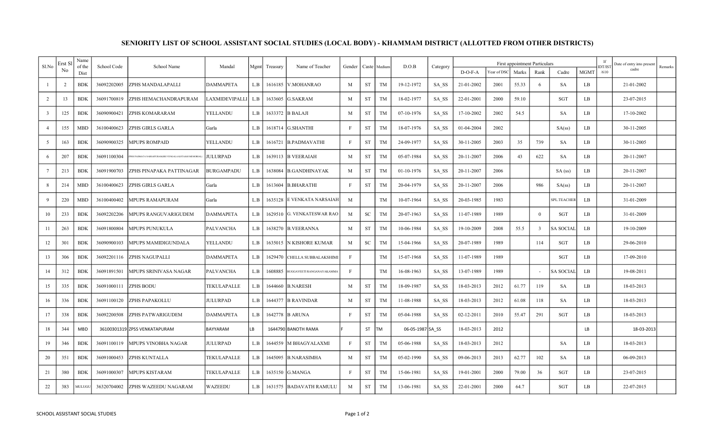| Sl.No          | Erst Sl | Name<br>of the | School Code | School Name                                         | Mandal           | Mgmt | Treasury | Name of Teacher                 | Gender       |            | Caste Medium | D.O.B            | Category | <b>First appointment Particulars</b> |             |       |                |             |             |                | Date of entry into present | Remarks |
|----------------|---------|----------------|-------------|-----------------------------------------------------|------------------|------|----------|---------------------------------|--------------|------------|--------------|------------------|----------|--------------------------------------|-------------|-------|----------------|-------------|-------------|----------------|----------------------------|---------|
|                | No.     | Dist           |             |                                                     |                  |      |          |                                 |              |            |              |                  |          | $D-O-F-A$                            | Year of DSC | Marks | Rank           | Cadre       | <b>MGMT</b> | DT/IST<br>/610 | cadre                      |         |
|                |         | <b>BDK</b>     | 36092202005 | ZPHS MANDALAPALLI                                   | <b>DAMMAPETA</b> | L.B  | 1616185  | V.MOHANRAO                      | M            | <b>ST</b>  | TM           | 19-12-1972       | SA SS    | 21-01-2002                           | 2001        | 55.33 | -6             | <b>SA</b>   | LB          |                | 21-01-2002                 |         |
| $\overline{2}$ | 13      | <b>BDK</b>     | 36091700819 | ZPHS HEMACHANDRAPURAM                               | LAXMIDEVIPALLI   | L.B  | 1633605  | <b>G.SAKRAM</b>                 | M            | <b>ST</b>  | <b>TM</b>    | 18-02-1977       | SA SS    | 22-01-2001                           | 2000        | 59.10 |                | <b>SGT</b>  | LB          |                | 23-07-2015                 |         |
|                | 125     | <b>BDK</b>     | 36090900421 | ZPHS KOMARARAM                                      | YELLANDU         | L.B  |          | 1633372 B BALAJI                | M            | <b>ST</b>  | <b>TM</b>    | 07-10-1976       | SA SS    | 17-10-2002                           | 2002        | 54.5  |                | <b>SA</b>   | LB.         |                | 17-10-2002                 |         |
|                | 155     | <b>MBD</b>     | 36100400623 | ZPHS GIRLS GARLA                                    | Garla            | L.B  | 1618714  | <b>G.SHANTHI</b>                | -F           | <b>ST</b>  | <b>TM</b>    | 18-07-1976       | SA SS    | 01-04-2004                           | 2002        |       |                | SA(ss)      | LB          |                | 30-11-2005                 |         |
|                | 163     | <b>BDK</b>     | 36090900325 | <b>MPUPS ROMPAID</b>                                | YELLANDU         | L.B  | 1616721  | <b>B.PADMAVATHI</b>             | F            | <b>ST</b>  | TM           | 24-09-1977       | SA SS    | 30-11-2005                           | 2003        | 35    | 739            | SA          | LB          |                | 30-11-2005                 |         |
|                | 207     | <b>BDK</b>     | 36091100304 | PHS PADMATA NARSAPURAM(SRI VENGALA KOTAIAH MEMORIAL | JULURPAD         | L.B  |          | 1639113 B VEERAIAH              | M            | <b>ST</b>  | <b>TM</b>    | 05-07-1984       | SA SS    | 20-11-2007                           | 2006        | 43    | 622            | SA          | LB          |                | 20-11-2007                 |         |
|                | 213     | <b>BDK</b>     | 36091900703 | ZPHS PINAPAKA PATTINAGAR                            | BURGAMPADU       | L.B  | 1638084  | B.GANDHINAYAK                   | M            | <b>ST</b>  | <b>TM</b>    | 01-10-1976       | SA SS    | 20-11-2007                           | 2006        |       |                | $SA$ (ss)   | LB          |                | 20-11-2007                 |         |
|                | 214     | <b>MBD</b>     | 36100400623 | ZPHS GIRLS GARLA                                    | Garla            | L.B  | 1613604  | <b>B.BHARATHI</b>               | $\mathbf{F}$ | <b>ST</b>  | <b>TM</b>    | 20-04-1979       | SA SS    | 20-11-2007                           | 2006        |       | 986            | SA(ss)      | LB          |                | 20-11-2007                 |         |
|                | 220     | MBD            | 36100400402 | <b>MPUPS RAMAPURAM</b>                              | Garla            | L.B  | 1635128  | <b>E VENKATA NARSAIAH</b>       | M            |            | <b>TM</b>    | 10-07-1964       | SA SS    | 20-03-1985                           | 1983        |       |                | SPL.TEACHEF | LB          |                | 31-01-2009                 |         |
| 10             | 233     | <b>BDK</b>     | 36092202206 | MPUPS RANGUVARIGUDEM                                | DAMMAPETA        | L.B  |          | 1629510 G. VENKATESWAR RAO      | M            | SC         | TM           | 20-07-1963       | SA SS    | 11-07-1989                           | 1989        |       | $\overline{0}$ | SGT         | LB          |                | 31-01-2009                 |         |
| 11             | 263     | <b>BDK</b>     | 36091800804 | <b>MPUPS PUNUKULA</b>                               | PALVANCHA        | L.B  | 1638270  | <b>B.VEERANNA</b>               | M            | <b>ST</b>  | <b>TM</b>    | 10-06-1984       | SA SS    | 19-10-2009                           | 2008        | 55.5  | 3              | SA SOCIAI   | LB          |                | 19-10-2009                 |         |
| 12             | 301     | <b>BDK</b>     | 36090900103 | MPUPS MAMIDIGUNDALA                                 | YELLANDU         | L.B  | 1635015  | <b>N KISHORE KUMAR</b>          | M            | ${\rm SC}$ | <b>TM</b>    | 15-04-1966       | SA SS    | 20-07-1989                           | 1989        |       | 114            | <b>SGT</b>  | LB          |                | 29-06-2010                 |         |
| 13             | 306     | <b>BDK</b>     | 36092201116 | <b>ZPHS NAGUPALLI</b>                               | <b>DAMMAPETA</b> | L.B  | 1629470  | <b>CHELLA SUBBALAKSHIMI</b>     | $\mathbf{F}$ |            | <b>TM</b>    | 15-07-1968       | SA SS    | 11-07-1989                           | 1989        |       |                | SGT         | LB          |                | 17-09-2010                 |         |
|                | 312     | <b>BDK</b>     | 36091891501 | MPUPS SRINIVASA NAGAR                               | PALVANCHA        | L.B  | 1608885  | <b>BUGGAVEETI RANGANAYAKAMM</b> | F            |            | TM           | 16-08-1963       | SA SS    | 13-07-1989                           | 1989        |       |                | SA SOCIAI   | LB          |                | 19-08-2011                 |         |
| 15             | 335     | <b>BDK</b>     | 36091000111 | <b>ZPHS BODU</b>                                    | TEKULAPALLE      | L.B  | 1644660  | <b>B.NARESH</b>                 | M            | <b>ST</b>  | <b>TM</b>    | 18-09-1987       | SA SS    | 18-03-2013                           | 2012        | 61.77 | 119            | SA          | LB          |                | 18-03-2013                 |         |
| 16             | 336     | <b>BDK</b>     | 36091100120 | <b>ZPHS PAPAKOLLU</b>                               | JULURPAD         | L.B  | 1644377  | <b>B RAVINDAR</b>               | M            | <b>ST</b>  | <b>TM</b>    | 11-08-1988       | SA SS    | 18-03-2013                           | 2012        | 61.08 | 118            | <b>SA</b>   | LB          |                | 18-03-2013                 |         |
|                | 338     | <b>BDK</b>     | 36092200508 | ZPHS PATWARIGUDEM                                   | <b>DAMMAPETA</b> | L.B  |          | 1642778 B ARUNA                 | F            | <b>ST</b>  | <b>TM</b>    | 05-04-1988       | SA SS    | 02-12-2011                           | 2010        | 55.47 | 291            | <b>SGT</b>  | LB          |                | 18-03-2013                 |         |
| 18             | 344     | <b>MBD</b>     |             | 36100301319 ZPSS VENKATAPURAM                       | <b>BAYYARAM</b>  | LB   |          | 1644790 BANOTH RAMA             |              | <b>ST</b>  | TM           | 06-05-1987 SA SS |          | 18-03-2013                           | 2012        |       |                |             | LB          |                | 18-03-2013                 |         |
| 19             | 346     | <b>BDK</b>     | 36091100119 | MPUPS VINOBHA NAGAR                                 | JULURPAD         | L.B  | 1644559  | M BHAGYALAXMI                   | F            | <b>ST</b>  | TM           | 05-06-1988       | SA SS    | 18-03-2013                           | 2012        |       |                | <b>SA</b>   | LB          |                | 18-03-2013                 |         |
| 20             | 351     | <b>BDK</b>     | 36091000453 | <b>ZPHS KUNTALLA</b>                                | TEKULAPALLE      | L.B  | 1645095  | <b>B.NARASIMHA</b>              | M            | <b>ST</b>  | TM           | 05-02-1990       | SA SS    | 09-06-2013                           | 2013        | 62.77 | 102            | SA          | LB          |                | 06-09-2013                 |         |
| 21             | 380     | <b>BDK</b>     | 36091000307 | MPUPS KISTARAM                                      | TEKULAPALLE      | L.B  | 1635150  | G.MANGA                         | F            | <b>ST</b>  | <b>TM</b>    | 15-06-1981       | SA SS    | 19-01-2001                           | 2000        | 79.00 | 36             | SGT         | LB          |                | 23-07-2015                 |         |
| 22             | 383     | MULUGL         | 36320704002 | ZPHS WAZEEDU NAGARAM                                | WAZEEDU          | L.B  | 1631575  | <b>BADAVATH RAMULU</b>          | M            | <b>ST</b>  | <b>TM</b>    | 13-06-1981       | SA SS    | 22-01-2001                           | 2000        | 64.7  |                | <b>SGT</b>  | LB          |                | 22-07-2015                 |         |

## SENIORITY LIST OF SCHOOL ASSISTANT SOCIAL STUDIES (LOCAL BODY) - KHAMMAM DISTRICT (ALLOTTED FROM OTHER DISTRICTS)